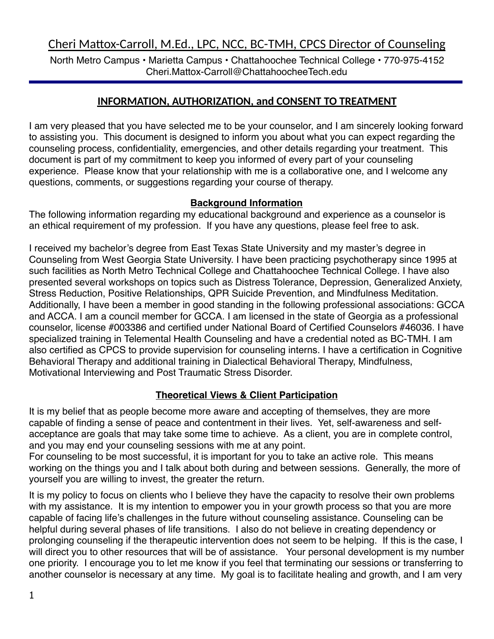North Metro Campus • Marietta Campus • Chattahoochee Technical College • 770-975-4152 Cheri.Mattox-Carroll@ChattahoocheeTech.edu

# **INFORMATION, AUTHORIZATION, and CONSENT TO TREATMENT**

I am very pleased that you have selected me to be your counselor, and I am sincerely looking forward to assisting you. This document is designed to inform you about what you can expect regarding the counseling process, confidentiality, emergencies, and other details regarding your treatment. This document is part of my commitment to keep you informed of every part of your counseling experience. Please know that your relationship with me is a collaborative one, and I welcome any questions, comments, or suggestions regarding your course of therapy.

## **Background Information**

The following information regarding my educational background and experience as a counselor is an ethical requirement of my profession. If you have any questions, please feel free to ask.

I received my bachelor's degree from East Texas State University and my master's degree in Counseling from West Georgia State University. I have been practicing psychotherapy since 1995 at such facilities as North Metro Technical College and Chattahoochee Technical College. I have also presented several workshops on topics such as Distress Tolerance, Depression, Generalized Anxiety, Stress Reduction, Positive Relationships, QPR Suicide Prevention, and Mindfulness Meditation. Additionally, I have been a member in good standing in the following professional associations: GCCA and ACCA. I am a council member for GCCA. I am licensed in the state of Georgia as a professional counselor, license #003386 and certified under National Board of Certified Counselors #46036. I have specialized training in Telemental Health Counseling and have a credential noted as BC-TMH. I am also certified as CPCS to provide supervision for counseling interns. I have a certification in Cognitive Behavioral Therapy and additional training in Dialectical Behavioral Therapy, Mindfulness, Motivational Interviewing and Post Traumatic Stress Disorder.

# **Theoretical Views & Client Participation**

It is my belief that as people become more aware and accepting of themselves, they are more capable of finding a sense of peace and contentment in their lives. Yet, self-awareness and selfacceptance are goals that may take some time to achieve. As a client, you are in complete control, and you may end your counseling sessions with me at any point.

For counseling to be most successful, it is important for you to take an active role. This means working on the things you and I talk about both during and between sessions. Generally, the more of yourself you are willing to invest, the greater the return.

It is my policy to focus on clients who I believe they have the capacity to resolve their own problems with my assistance. It is my intention to empower you in your growth process so that you are more capable of facing life's challenges in the future without counseling assistance. Counseling can be helpful during several phases of life transitions. I also do not believe in creating dependency or prolonging counseling if the therapeutic intervention does not seem to be helping. If this is the case, I will direct you to other resources that will be of assistance. Your personal development is my number one priority. I encourage you to let me know if you feel that terminating our sessions or transferring to another counselor is necessary at any time. My goal is to facilitate healing and growth, and I am very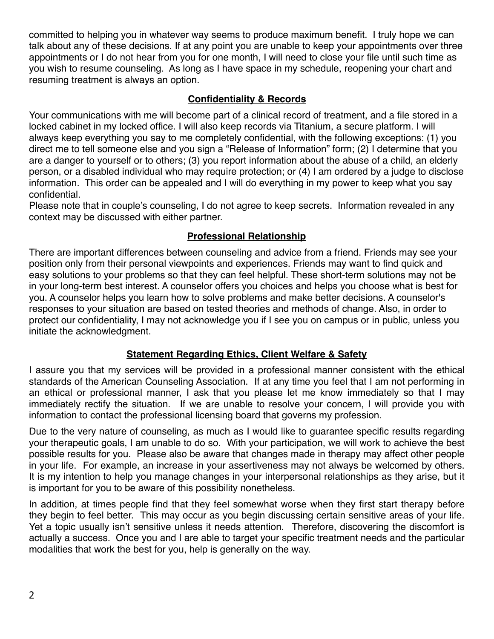committed to helping you in whatever way seems to produce maximum benefit. I truly hope we can talk about any of these decisions. If at any point you are unable to keep your appointments over three appointments or I do not hear from you for one month, I will need to close your file until such time as you wish to resume counseling. As long as I have space in my schedule, reopening your chart and resuming treatment is always an option.

## **Confidentiality & Records**

Your communications with me will become part of a clinical record of treatment, and a file stored in a locked cabinet in my locked office. I will also keep records via Titanium, a secure platform. I will always keep everything you say to me completely confidential, with the following exceptions: (1) you direct me to tell someone else and you sign a "Release of Information" form; (2) I determine that you are a danger to yourself or to others; (3) you report information about the abuse of a child, an elderly person, or a disabled individual who may require protection; or (4) I am ordered by a judge to disclose information. This order can be appealed and I will do everything in my power to keep what you say confidential.

Please note that in couple's counseling, I do not agree to keep secrets. Information revealed in any context may be discussed with either partner.

# **Professional Relationship**

There are important differences between counseling and advice from a friend. Friends may see your position only from their personal viewpoints and experiences. Friends may want to find quick and easy solutions to your problems so that they can feel helpful. These short-term solutions may not be in your long-term best interest. A counselor offers you choices and helps you choose what is best for you. A counselor helps you learn how to solve problems and make better decisions. A counselor's responses to your situation are based on tested theories and methods of change. Also, in order to protect our confidentiality, I may not acknowledge you if I see you on campus or in public, unless you initiate the acknowledgment.

# **Statement Regarding Ethics, Client Welfare & Safety**

I assure you that my services will be provided in a professional manner consistent with the ethical standards of the American Counseling Association. If at any time you feel that I am not performing in an ethical or professional manner, I ask that you please let me know immediately so that I may immediately rectify the situation. If we are unable to resolve your concern, I will provide you with information to contact the professional licensing board that governs my profession.

Due to the very nature of counseling, as much as I would like to guarantee specific results regarding your therapeutic goals, I am unable to do so. With your participation, we will work to achieve the best possible results for you. Please also be aware that changes made in therapy may affect other people in your life. For example, an increase in your assertiveness may not always be welcomed by others. It is my intention to help you manage changes in your interpersonal relationships as they arise, but it is important for you to be aware of this possibility nonetheless.

In addition, at times people find that they feel somewhat worse when they first start therapy before they begin to feel better. This may occur as you begin discussing certain sensitive areas of your life. Yet a topic usually isn't sensitive unless it needs attention. Therefore, discovering the discomfort is actually a success. Once you and I are able to target your specific treatment needs and the particular modalities that work the best for you, help is generally on the way.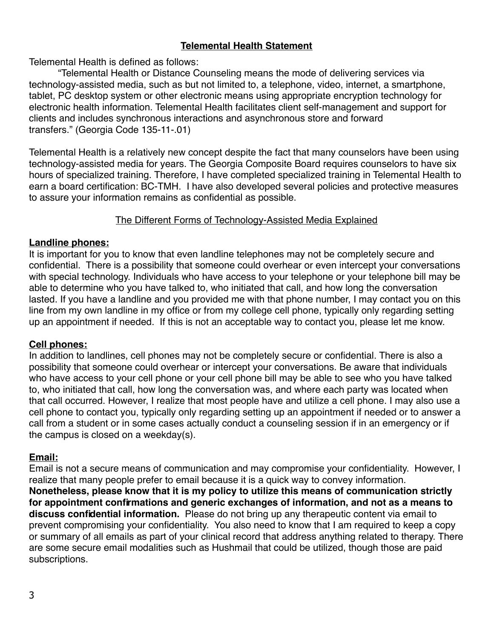## **Telemental Health Statement**

Telemental Health is defined as follows:

"Telemental Health or Distance Counseling means the mode of delivering services via technology-assisted media, such as but not limited to, a telephone, video, internet, a smartphone, tablet, PC desktop system or other electronic means using appropriate encryption technology for electronic health information. Telemental Health facilitates client self-management and support for clients and includes synchronous interactions and asynchronous store and forward transfers." (Georgia Code 135-11-.01)

Telemental Health is a relatively new concept despite the fact that many counselors have been using technology-assisted media for years. The Georgia Composite Board requires counselors to have six hours of specialized training. Therefore, I have completed specialized training in Telemental Health to earn a board certification: BC-TMH. I have also developed several policies and protective measures to assure your information remains as confidential as possible.

#### The Different Forms of Technology-Assisted Media Explained

#### **Landline phones:**

It is important for you to know that even landline telephones may not be completely secure and confidential. There is a possibility that someone could overhear or even intercept your conversations with special technology. Individuals who have access to your telephone or your telephone bill may be able to determine who you have talked to, who initiated that call, and how long the conversation lasted. If you have a landline and you provided me with that phone number, I may contact you on this line from my own landline in my office or from my college cell phone, typically only regarding setting up an appointment if needed. If this is not an acceptable way to contact you, please let me know.

#### **Cell phones:**

In addition to landlines, cell phones may not be completely secure or confidential. There is also a possibility that someone could overhear or intercept your conversations. Be aware that individuals who have access to your cell phone or your cell phone bill may be able to see who you have talked to, who initiated that call, how long the conversation was, and where each party was located when that call occurred. However, I realize that most people have and utilize a cell phone. I may also use a cell phone to contact you, typically only regarding setting up an appointment if needed or to answer a call from a student or in some cases actually conduct a counseling session if in an emergency or if the campus is closed on a weekday(s).

#### **Email:**

Email is not a secure means of communication and may compromise your confidentiality. However, I realize that many people prefer to email because it is a quick way to convey information. **Nonetheless, please know that it is my policy to utilize this means of communication strictly for appointment confirmations and generic exchanges of information, and not as a means to discuss confidential information.** Please do not bring up any therapeutic content via email to prevent compromising your confidentiality. You also need to know that I am required to keep a copy or summary of all emails as part of your clinical record that address anything related to therapy. There are some secure email modalities such as Hushmail that could be utilized, though those are paid subscriptions.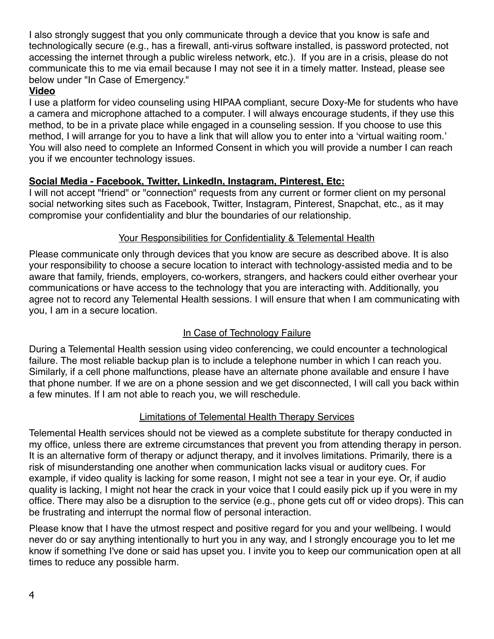I also strongly suggest that you only communicate through a device that you know is safe and technologically secure (e.g., has a firewall, anti-virus software installed, is password protected, not accessing the internet through a public wireless network, etc.). If you are in a crisis, please do not communicate this to me via email because I may not see it in a timely matter. Instead, please see below under "In Case of Emergency."

## **Video**

I use a platform for video counseling using HIPAA compliant, secure Doxy-Me for students who have a camera and microphone attached to a computer. I will always encourage students, if they use this method, to be in a private place while engaged in a counseling session. If you choose to use this method, I will arrange for you to have a link that will allow you to enter into a 'virtual waiting room.' You will also need to complete an Informed Consent in which you will provide a number I can reach you if we encounter technology issues.

## **Social Media - Facebook, Twitter, LinkedIn, Instagram, Pinterest, Etc:**

I will not accept "friend" or "connection" requests from any current or former client on my personal social networking sites such as Facebook, Twitter, Instagram, Pinterest, Snapchat, etc., as it may compromise your confidentiality and blur the boundaries of our relationship.

## Your Responsibilities for Confidentiality & Telemental Health

Please communicate only through devices that you know are secure as described above. It is also your responsibility to choose a secure location to interact with technology-assisted media and to be aware that family, friends, employers, co-workers, strangers, and hackers could either overhear your communications or have access to the technology that you are interacting with. Additionally, you agree not to record any Telemental Health sessions. I will ensure that when I am communicating with you, I am in a secure location.

# In Case of Technology Failure

During a Telemental Health session using video conferencing, we could encounter a technological failure. The most reliable backup plan is to include a telephone number in which I can reach you. Similarly, if a cell phone malfunctions, please have an alternate phone available and ensure I have that phone number. If we are on a phone session and we get disconnected, I will call you back within a few minutes. If I am not able to reach you, we will reschedule.

#### Limitations of Telemental Health Therapy Services

Telemental Health services should not be viewed as a complete substitute for therapy conducted in my office, unless there are extreme circumstances that prevent you from attending therapy in person. It is an alternative form of therapy or adjunct therapy, and it involves limitations. Primarily, there is a risk of misunderstanding one another when communication lacks visual or auditory cues. For example, if video quality is lacking for some reason, I might not see a tear in your eye. Or, if audio quality is lacking, I might not hear the crack in your voice that I could easily pick up if you were in my office. There may also be a disruption to the service (e.g., phone gets cut off or video drops). This can be frustrating and interrupt the normal flow of personal interaction.

Please know that I have the utmost respect and positive regard for you and your wellbeing. I would never do or say anything intentionally to hurt you in any way, and I strongly encourage you to let me know if something I've done or said has upset you. I invite you to keep our communication open at all times to reduce any possible harm.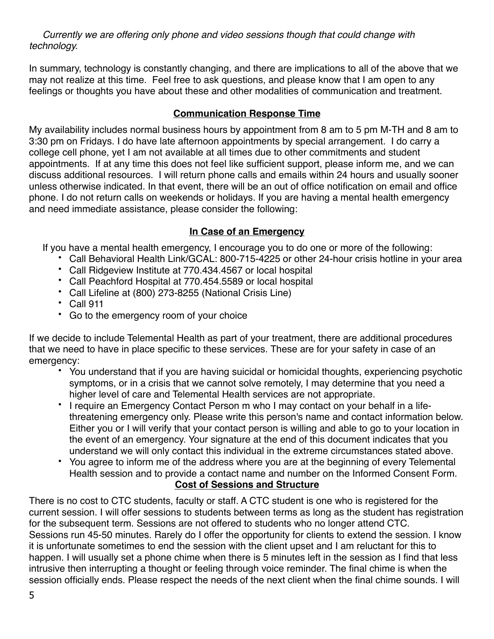*Currently we are offering only phone and video sessions though that could change with technology.* 

In summary, technology is constantly changing, and there are implications to all of the above that we may not realize at this time. Feel free to ask questions, and please know that I am open to any feelings or thoughts you have about these and other modalities of communication and treatment.

## **Communication Response Time**

My availability includes normal business hours by appointment from 8 am to 5 pm M-TH and 8 am to 3:30 pm on Fridays. I do have late afternoon appointments by special arrangement. I do carry a college cell phone, yet I am not available at all times due to other commitments and student appointments. If at any time this does not feel like sufficient support, please inform me, and we can discuss additional resources. I will return phone calls and emails within 24 hours and usually sooner unless otherwise indicated. In that event, there will be an out of office notification on email and office phone. I do not return calls on weekends or holidays. If you are having a mental health emergency and need immediate assistance, please consider the following:

# **In Case of an Emergency**

If you have a mental health emergency, I encourage you to do one or more of the following:

- Call Behavioral Health Link/GCAL: 800-715-4225 or other 24-hour crisis hotline in your area
- Call Ridgeview Institute at 770.434.4567 or local hospital
- Call Peachford Hospital at 770.454.5589 or local hospital
- Call Lifeline at (800) 273-8255 (National Crisis Line)
- Call 911
- Go to the emergency room of your choice

If we decide to include Telemental Health as part of your treatment, there are additional procedures that we need to have in place specific to these services. These are for your safety in case of an emergency:

- You understand that if you are having suicidal or homicidal thoughts, experiencing psychotic symptoms, or in a crisis that we cannot solve remotely, I may determine that you need a higher level of care and Telemental Health services are not appropriate.
- I require an Emergency Contact Person m who I may contact on your behalf in a lifethreatening emergency only. Please write this person's name and contact information below. Either you or I will verify that your contact person is willing and able to go to your location in the event of an emergency. Your signature at the end of this document indicates that you understand we will only contact this individual in the extreme circumstances stated above.
- You agree to inform me of the address where you are at the beginning of every Telemental Health session and to provide a contact name and number on the Informed Consent Form. **Cost of Sessions and Structure**

There is no cost to CTC students, faculty or staff. A CTC student is one who is registered for the current session. I will offer sessions to students between terms as long as the student has registration for the subsequent term. Sessions are not offered to students who no longer attend CTC. Sessions run 45-50 minutes. Rarely do I offer the opportunity for clients to extend the session. I know it is unfortunate sometimes to end the session with the client upset and I am reluctant for this to happen. I will usually set a phone chime when there is 5 minutes left in the session as I find that less intrusive then interrupting a thought or feeling through voice reminder. The final chime is when the session officially ends. Please respect the needs of the next client when the final chime sounds. I will